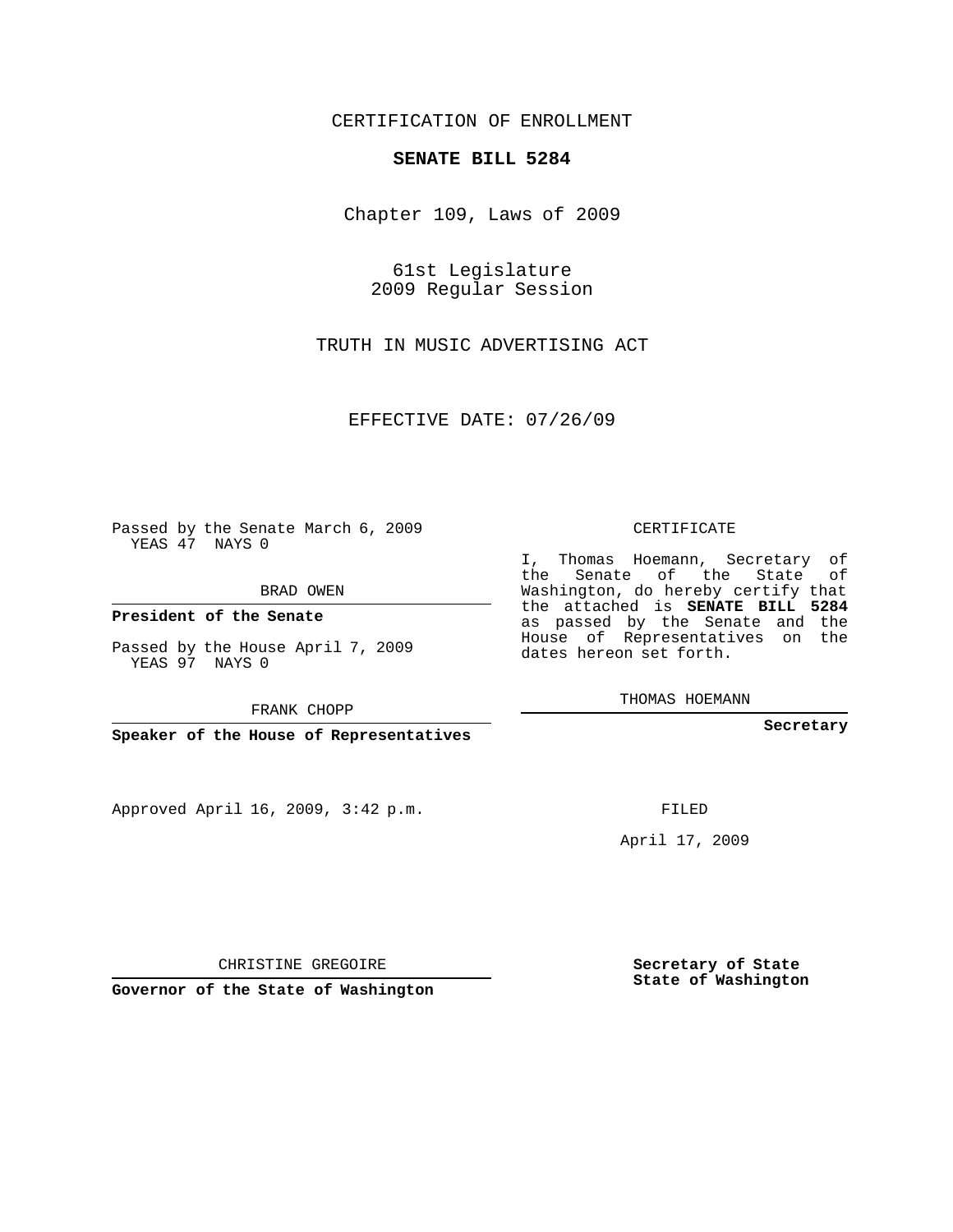## CERTIFICATION OF ENROLLMENT

## **SENATE BILL 5284**

Chapter 109, Laws of 2009

61st Legislature 2009 Regular Session

TRUTH IN MUSIC ADVERTISING ACT

EFFECTIVE DATE: 07/26/09

Passed by the Senate March 6, 2009 YEAS 47 NAYS 0

BRAD OWEN

**President of the Senate**

Passed by the House April 7, 2009 YEAS 97 NAYS 0

FRANK CHOPP

**Speaker of the House of Representatives**

Approved April 16, 2009, 3:42 p.m.

CERTIFICATE

I, Thomas Hoemann, Secretary of the Senate of the State of Washington, do hereby certify that the attached is **SENATE BILL 5284** as passed by the Senate and the House of Representatives on the dates hereon set forth.

THOMAS HOEMANN

**Secretary**

FILED

April 17, 2009

**Secretary of State State of Washington**

CHRISTINE GREGOIRE

**Governor of the State of Washington**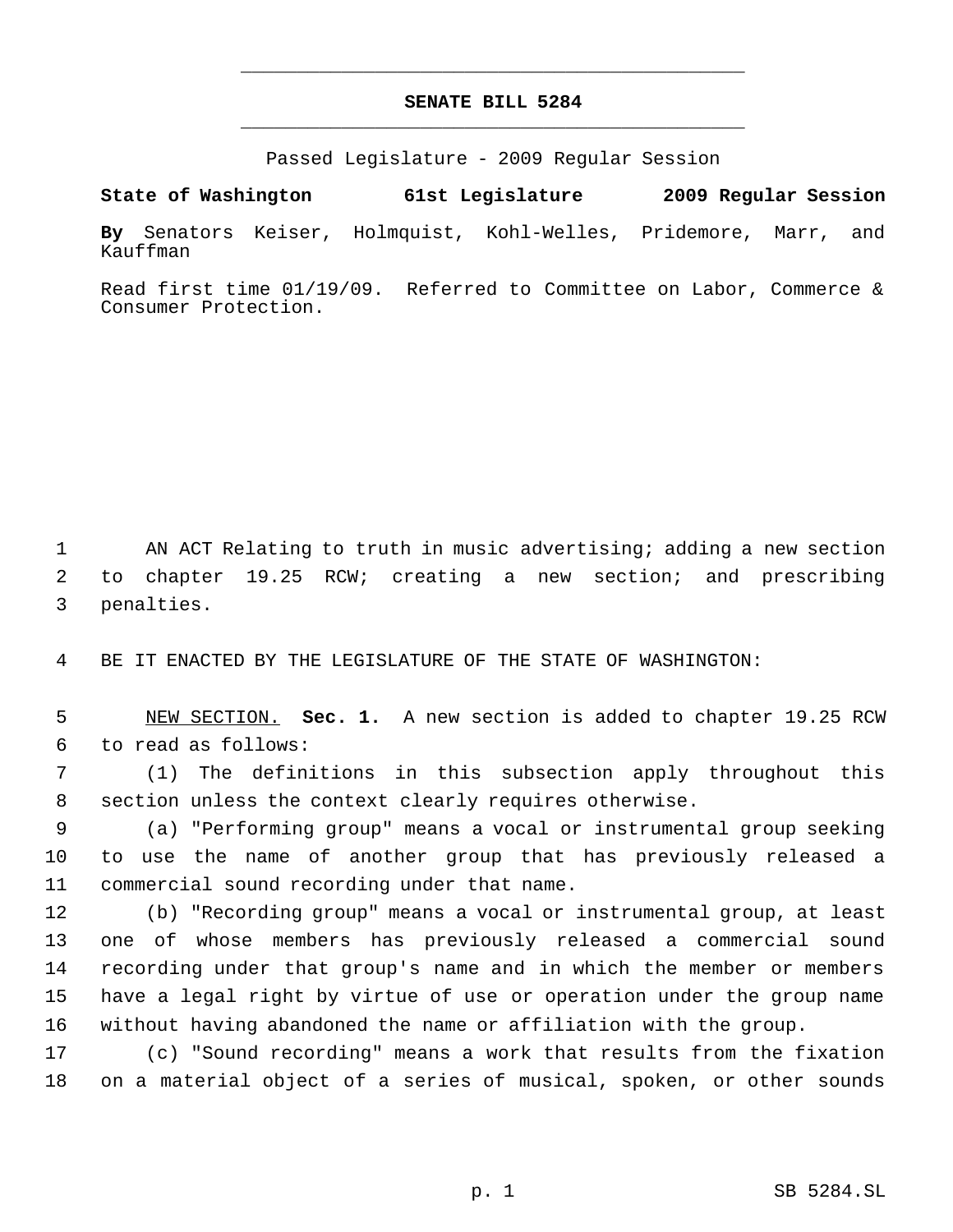## **SENATE BILL 5284** \_\_\_\_\_\_\_\_\_\_\_\_\_\_\_\_\_\_\_\_\_\_\_\_\_\_\_\_\_\_\_\_\_\_\_\_\_\_\_\_\_\_\_\_\_

\_\_\_\_\_\_\_\_\_\_\_\_\_\_\_\_\_\_\_\_\_\_\_\_\_\_\_\_\_\_\_\_\_\_\_\_\_\_\_\_\_\_\_\_\_

Passed Legislature - 2009 Regular Session

**State of Washington 61st Legislature 2009 Regular Session**

**By** Senators Keiser, Holmquist, Kohl-Welles, Pridemore, Marr, and Kauffman

Read first time 01/19/09. Referred to Committee on Labor, Commerce & Consumer Protection.

 AN ACT Relating to truth in music advertising; adding a new section to chapter 19.25 RCW; creating a new section; and prescribing penalties.

BE IT ENACTED BY THE LEGISLATURE OF THE STATE OF WASHINGTON:

 NEW SECTION. **Sec. 1.** A new section is added to chapter 19.25 RCW to read as follows:

 (1) The definitions in this subsection apply throughout this section unless the context clearly requires otherwise.

 (a) "Performing group" means a vocal or instrumental group seeking to use the name of another group that has previously released a commercial sound recording under that name.

 (b) "Recording group" means a vocal or instrumental group, at least one of whose members has previously released a commercial sound recording under that group's name and in which the member or members have a legal right by virtue of use or operation under the group name without having abandoned the name or affiliation with the group.

 (c) "Sound recording" means a work that results from the fixation on a material object of a series of musical, spoken, or other sounds